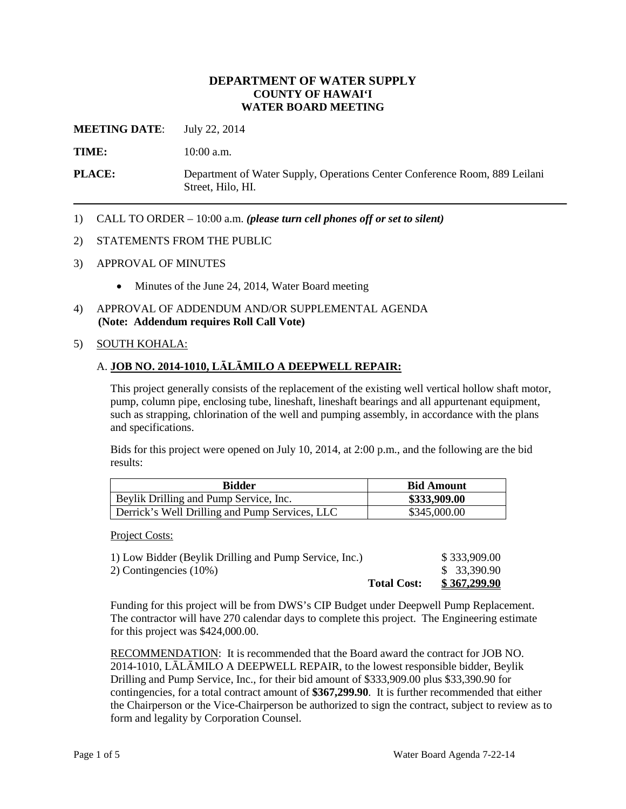# **DEPARTMENT OF WATER SUPPLY COUNTY OF HAWAI'I WATER BOARD MEETING**

**MEETING DATE:** July 22, 2014

**TIME:** 10:00 a.m.

**PLACE:** Department of Water Supply, Operations Center Conference Room, 889 Leilani Street, Hilo, HI.

1) CALL TO ORDER – 10:00 a.m. *(please turn cell phones off or set to silent)*

#### 2) STATEMENTS FROM THE PUBLIC

- 3) APPROVAL OF MINUTES
	- Minutes of the June 24, 2014, Water Board meeting
- 4) APPROVAL OF ADDENDUM AND/OR SUPPLEMENTAL AGENDA **(Note: Addendum requires Roll Call Vote)**
- 5) SOUTH KOHALA:

# A. **JOB NO. 2014-1010, LĀLĀMILO A DEEPWELL REPAIR:**

This project generally consists of the replacement of the existing well vertical hollow shaft motor, pump, column pipe, enclosing tube, lineshaft, lineshaft bearings and all appurtenant equipment, such as strapping, chlorination of the well and pumping assembly, in accordance with the plans and specifications.

Bids for this project were opened on July 10, 2014, at 2:00 p.m., and the following are the bid results:

| <b>Bidder</b>                                  | <b>Bid Amount</b> |
|------------------------------------------------|-------------------|
| Beylik Drilling and Pump Service, Inc.         | \$333,909.00      |
| Derrick's Well Drilling and Pump Services, LLC | \$345,000.00      |

Project Costs:

|                                                        | <b>Total Cost:</b> | \$367,299.90 |
|--------------------------------------------------------|--------------------|--------------|
| 2) Contingencies (10%)                                 |                    | \$ 33,390.90 |
| 1) Low Bidder (Beylik Drilling and Pump Service, Inc.) |                    | \$333,909.00 |

Funding for this project will be from DWS's CIP Budget under Deepwell Pump Replacement. The contractor will have 270 calendar days to complete this project. The Engineering estimate for this project was \$424,000.00.

RECOMMENDATION: It is recommended that the Board award the contract for JOB NO. 2014-1010, LĀLĀMILO A DEEPWELL REPAIR, to the lowest responsible bidder, Beylik Drilling and Pump Service, Inc., for their bid amount of \$333,909.00 plus \$33,390.90 for contingencies, for a total contract amount of **\$367,299.90**. It is further recommended that either the Chairperson or the Vice-Chairperson be authorized to sign the contract, subject to review as to form and legality by Corporation Counsel.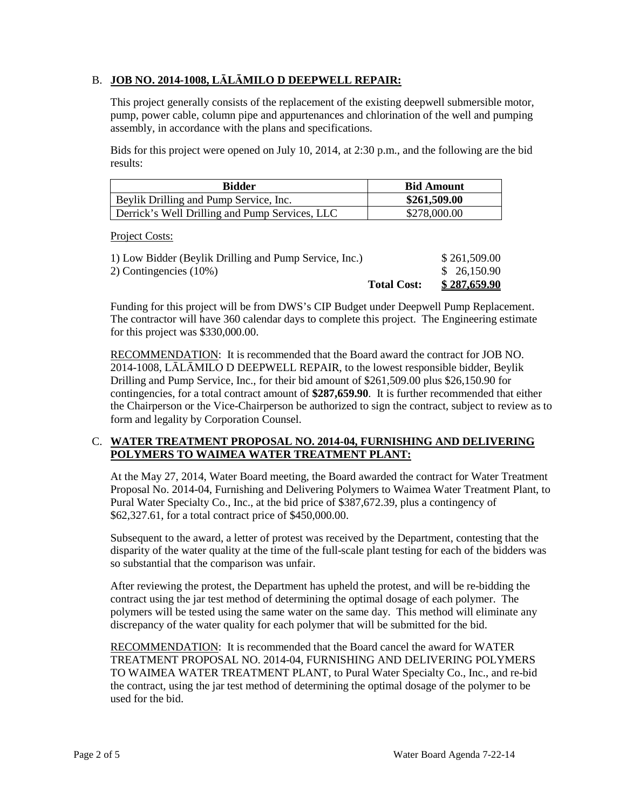# B. **JOB NO. 2014-1008, LĀLĀMILO D DEEPWELL REPAIR:**

This project generally consists of the replacement of the existing deepwell submersible motor, pump, power cable, column pipe and appurtenances and chlorination of the well and pumping assembly, in accordance with the plans and specifications.

Bids for this project were opened on July 10, 2014, at 2:30 p.m., and the following are the bid results:

| <b>Bidder</b>                                  | <b>Bid Amount</b> |
|------------------------------------------------|-------------------|
| Beylik Drilling and Pump Service, Inc.         | \$261,509.00      |
| Derrick's Well Drilling and Pump Services, LLC | \$278,000.00      |

Project Costs:

| <b>Total Cost:</b>                                     | \$287,659.90 |
|--------------------------------------------------------|--------------|
| 2) Contingencies (10%)                                 | \$26,150.90  |
| 1) Low Bidder (Beylik Drilling and Pump Service, Inc.) | \$261,509.00 |

Funding for this project will be from DWS's CIP Budget under Deepwell Pump Replacement. The contractor will have 360 calendar days to complete this project. The Engineering estimate for this project was \$330,000.00.

RECOMMENDATION: It is recommended that the Board award the contract for JOB NO. 2014-1008, LĀLĀMILO D DEEPWELL REPAIR, to the lowest responsible bidder, Beylik Drilling and Pump Service, Inc., for their bid amount of \$261,509.00 plus \$26,150.90 for contingencies, for a total contract amount of **\$287,659.90**. It is further recommended that either the Chairperson or the Vice-Chairperson be authorized to sign the contract, subject to review as to form and legality by Corporation Counsel.

# C. **WATER TREATMENT PROPOSAL NO. 2014-04, FURNISHING AND DELIVERING POLYMERS TO WAIMEA WATER TREATMENT PLANT:**

At the May 27, 2014, Water Board meeting, the Board awarded the contract for Water Treatment Proposal No. 2014-04, Furnishing and Delivering Polymers to Waimea Water Treatment Plant, to Pural Water Specialty Co., Inc., at the bid price of \$387,672.39, plus a contingency of \$62,327.61, for a total contract price of \$450,000.00.

Subsequent to the award, a letter of protest was received by the Department, contesting that the disparity of the water quality at the time of the full-scale plant testing for each of the bidders was so substantial that the comparison was unfair.

After reviewing the protest, the Department has upheld the protest, and will be re-bidding the contract using the jar test method of determining the optimal dosage of each polymer. The polymers will be tested using the same water on the same day. This method will eliminate any discrepancy of the water quality for each polymer that will be submitted for the bid.

RECOMMENDATION: It is recommended that the Board cancel the award for WATER TREATMENT PROPOSAL NO. 2014-04, FURNISHING AND DELIVERING POLYMERS TO WAIMEA WATER TREATMENT PLANT, to Pural Water Specialty Co., Inc., and re-bid the contract, using the jar test method of determining the optimal dosage of the polymer to be used for the bid.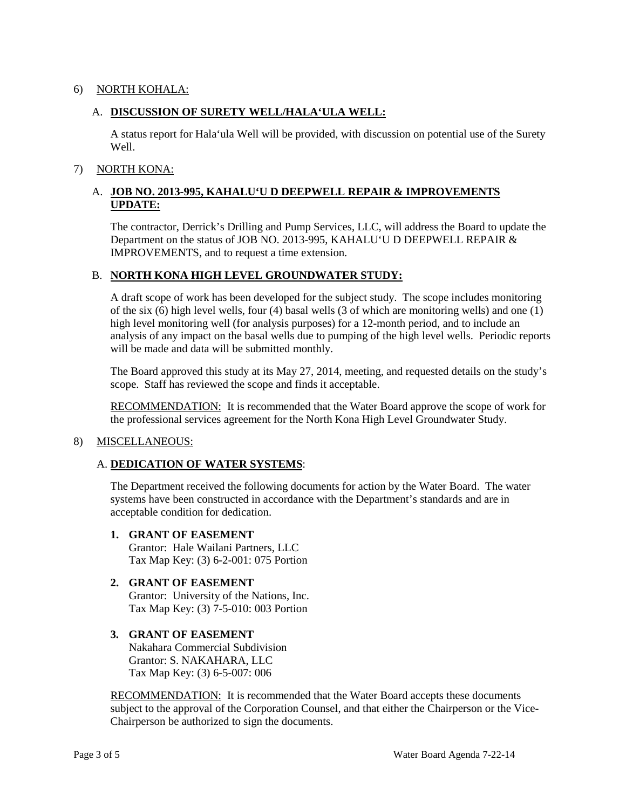# 6) NORTH KOHALA:

# A. **DISCUSSION OF SURETY WELL/HALA'ULA WELL:**

A status report for Hala'ula Well will be provided, with discussion on potential use of the Surety Well.

# 7) NORTH KONA:

# A. **JOB NO. 2013-995, KAHALU'U D DEEPWELL REPAIR & IMPROVEMENTS UPDATE:**

The contractor, Derrick's Drilling and Pump Services, LLC, will address the Board to update the Department on the status of JOB NO. 2013-995, KAHALU'U D DEEPWELL REPAIR & IMPROVEMENTS, and to request a time extension.

# B. **NORTH KONA HIGH LEVEL GROUNDWATER STUDY:**

A draft scope of work has been developed for the subject study. The scope includes monitoring of the six (6) high level wells, four (4) basal wells (3 of which are monitoring wells) and one (1) high level monitoring well (for analysis purposes) for a 12-month period, and to include an analysis of any impact on the basal wells due to pumping of the high level wells. Periodic reports will be made and data will be submitted monthly.

The Board approved this study at its May 27, 2014, meeting, and requested details on the study's scope. Staff has reviewed the scope and finds it acceptable.

RECOMMENDATION: It is recommended that the Water Board approve the scope of work for the professional services agreement for the North Kona High Level Groundwater Study.

# 8) MISCELLANEOUS:

# A. **DEDICATION OF WATER SYSTEMS**:

The Department received the following documents for action by the Water Board. The water systems have been constructed in accordance with the Department's standards and are in acceptable condition for dedication.

# **1. GRANT OF EASEMENT**

Grantor: Hale Wailani Partners, LLC Tax Map Key: (3) 6-2-001: 075 Portion

# **2. GRANT OF EASEMENT**

Grantor: University of the Nations, Inc. Tax Map Key: (3) 7-5-010: 003 Portion

# **3. GRANT OF EASEMENT**

Nakahara Commercial Subdivision Grantor: S. NAKAHARA, LLC Tax Map Key: (3) 6-5-007: 006

RECOMMENDATION: It is recommended that the Water Board accepts these documents subject to the approval of the Corporation Counsel, and that either the Chairperson or the Vice-Chairperson be authorized to sign the documents.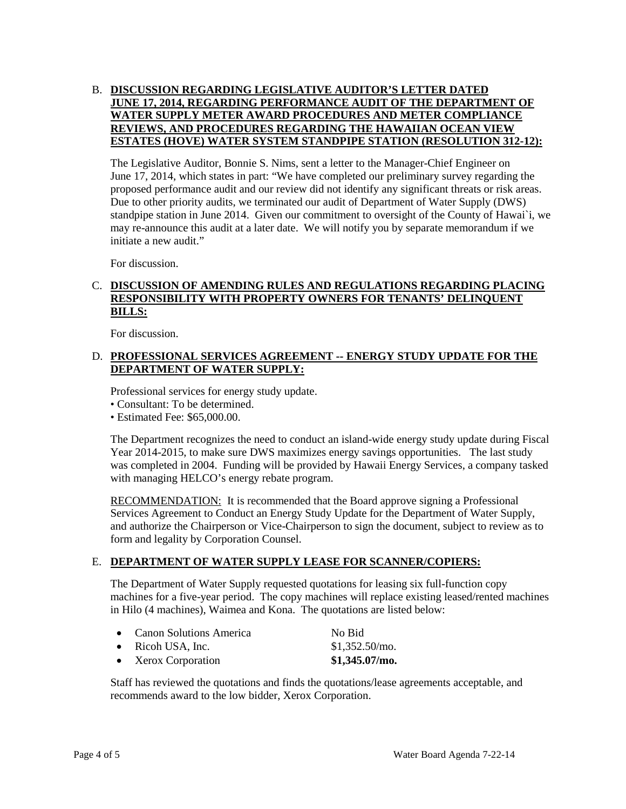# B. **DISCUSSION REGARDING LEGISLATIVE AUDITOR'S LETTER DATED JUNE 17, 2014, REGARDING PERFORMANCE AUDIT OF THE DEPARTMENT OF WATER SUPPLY METER AWARD PROCEDURES AND METER COMPLIANCE REVIEWS, AND PROCEDURES REGARDING THE HAWAIIAN OCEAN VIEW ESTATES (HOVE) WATER SYSTEM STANDPIPE STATION (RESOLUTION 312-12):**

The Legislative Auditor, Bonnie S. Nims, sent a letter to the Manager-Chief Engineer on June 17, 2014, which states in part: "We have completed our preliminary survey regarding the proposed performance audit and our review did not identify any significant threats or risk areas. Due to other priority audits, we terminated our audit of Department of Water Supply (DWS) standpipe station in June 2014. Given our commitment to oversight of the County of Hawai`i, we may re-announce this audit at a later date. We will notify you by separate memorandum if we initiate a new audit."

For discussion.

# C. **DISCUSSION OF AMENDING RULES AND REGULATIONS REGARDING PLACING RESPONSIBILITY WITH PROPERTY OWNERS FOR TENANTS' DELINQUENT BILLS:**

For discussion.

# D. **PROFESSIONAL SERVICES AGREEMENT -- ENERGY STUDY UPDATE FOR THE DEPARTMENT OF WATER SUPPLY:**

Professional services for energy study update.

- Consultant: To be determined.
- Estimated Fee: \$65,000.00.

The Department recognizes the need to conduct an island-wide energy study update during Fiscal Year 2014-2015, to make sure DWS maximizes energy savings opportunities. The last study was completed in 2004. Funding will be provided by Hawaii Energy Services, a company tasked with managing HELCO's energy rebate program.

RECOMMENDATION: It is recommended that the Board approve signing a Professional Services Agreement to Conduct an Energy Study Update for the Department of Water Supply, and authorize the Chairperson or Vice-Chairperson to sign the document, subject to review as to form and legality by Corporation Counsel.

# E. **DEPARTMENT OF WATER SUPPLY LEASE FOR SCANNER/COPIERS:**

The Department of Water Supply requested quotations for leasing six full-function copy machines for a five-year period. The copy machines will replace existing leased/rented machines in Hilo (4 machines), Waimea and Kona. The quotations are listed below:

|           | • Canon Solutions America | No Bid           |
|-----------|---------------------------|------------------|
|           | $\bullet$ Ricoh USA, Inc. | $$1,352.50/m$ .  |
| $\bullet$ | Xerox Corporation         | $$1,345.07/m$ o. |

Staff has reviewed the quotations and finds the quotations/lease agreements acceptable, and recommends award to the low bidder, Xerox Corporation.